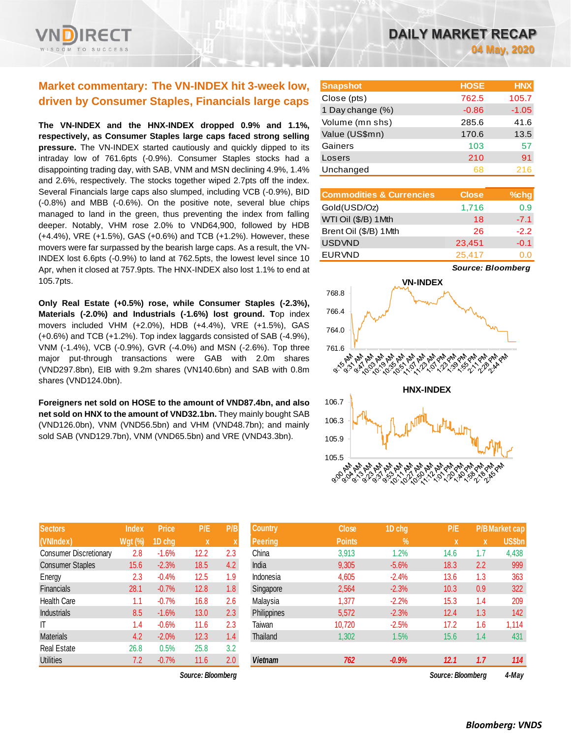# **Market commentary: The VN-INDEX hit 3-week low, driven by Consumer Staples, Financials large caps**

**The VN-INDEX and the HNX-INDEX dropped 0.9% and 1.1%, respectively, as Consumer Staples large caps faced strong selling pressure.** The VN-INDEX started cautiously and quickly dipped to its intraday low of 761.6pts (-0.9%). Consumer Staples stocks had a disappointing trading day, with SAB, VNM and MSN declining 4.9%, 1.4% and 2.6%, respectively. The stocks together wiped 2.7pts off the index. Several Financials large caps also slumped, including VCB (-0.9%), BID (-0.8%) and MBB (-0.6%). On the positive note, several blue chips managed to land in the green, thus preventing the index from falling deeper. Notably, VHM rose 2.0% to VND64,900, followed by HDB (+4.4%), VRE (+1.5%), GAS (+0.6%) and TCB (+1.2%). However, these movers were far surpassed by the bearish large caps. As a result, the VN-INDEX lost 6.6pts (-0.9%) to land at 762.5pts, the lowest level since 10 Apr, when it closed at 757.9pts. The HNX-INDEX also lost 1.1% to end at 105.7pts.

**Only Real Estate (+0.5%) rose, while Consumer Staples (-2.3%), Materials (-2.0%) and Industrials (-1.6%) lost ground. T**op index movers included VHM (+2.0%), HDB (+4.4%), VRE (+1.5%), GAS (+0.6%) and TCB (+1.2%). Top index laggards consisted of SAB (-4.9%), VNM (-1.4%), VCB (-0.9%), GVR (-4.0%) and MSN (-2.6%). Top three major put-through transactions were GAB with 2.0m shares (VND297.8bn), EIB with 9.2m shares (VN140.6bn) and SAB with 0.8m shares (VND124.0bn).

**Foreigners net sold on HOSE to the amount of VND87.4bn, and also net sold on HNX to the amount of VND32.1bn.** They mainly bought SAB (VND126.0bn), VNM (VND56.5bn) and VHM (VND48.7bn); and mainly sold SAB (VND129.7bn), VNM (VND65.5bn) and VRE (VND43.3bn).

| <b>Sectors</b>                | <b>Index</b> | <b>Price</b> | P/E  | P/B                |
|-------------------------------|--------------|--------------|------|--------------------|
| (VNIndex)                     | Wgt (%)      | 1D chg       | X    | $\pmb{\mathsf{X}}$ |
| <b>Consumer Discretionary</b> | 2.8          | $-1.6%$      | 12.2 | 2.3                |
| <b>Consumer Staples</b>       | 15.6         | $-2.3%$      | 18.5 | 4.2                |
| Energy                        | 2.3          | $-0.4%$      | 12.5 | 1.9                |
| <b>Financials</b>             | 28.1         | $-0.7%$      | 12.8 | 1.8                |
| <b>Health Care</b>            | 1.1          | $-0.7%$      | 16.8 | 2.6                |
| <b>Industrials</b>            | 8.5          | $-1.6%$      | 13.0 | 2.3                |
| ΙT                            | 1.4          | $-0.6%$      | 11.6 | 2.3                |
| <b>Materials</b>              | 4.2          | $-2.0%$      | 12.3 | 1.4                |
| <b>Real Estate</b>            | 26.8         | 0.5%         | 25.8 | 3.2                |
| <b>Utilities</b>              | 7.2          | $-0.7%$      | 11.6 | 2.0                |

*Source: Bloomberg Source: Bloomberg 4-May*

| <b>Snapshot</b>  | <b>HOSE</b> | <b>HNX</b> |
|------------------|-------------|------------|
| Close (pts)      | 762.5       | 105.7      |
| 1 Day change (%) | $-0.86$     | $-1.05$    |
| Volume (mn shs)  | 285.6       | 41.6       |
| Value (US\$mn)   | 170.6       | 13.5       |
| Gainers          | 103         | 57         |
| Losers           | 210         | 91         |
| Unchanged        | 68          | 216        |

| <b>Commodities &amp; Currencies</b> | <b>Close</b> | $%$ chg |
|-------------------------------------|--------------|---------|
| Gold(USD/Oz)                        | 1,716        | 0.9     |
| WTI Oil (\$/B) 1Mth                 | 18           | $-7.1$  |
| Brent Oil (\$/B) 1Mth               | 26           | $-2.2$  |
| <b>USDVND</b>                       | 23,451       | $-0.1$  |
| <b>EURVND</b>                       | 25,417       | 0.0     |

*Source: Bloomberg*



| <b>Sectors</b>          | Index          | <b>Price</b> | P/E                       | P/B | <b>Country</b> | <b>Close</b>  | 1D chg  | P/E               |     | <b>P/B Market cap</b> |
|-------------------------|----------------|--------------|---------------------------|-----|----------------|---------------|---------|-------------------|-----|-----------------------|
| (VNIndex)               | <b>Wgt (%)</b> | 1D chg       | $\boldsymbol{\mathsf{x}}$ |     | <b>Peering</b> | <b>Points</b> | %       | $\mathbf x$       | X   | <b>US\$bn</b>         |
| Consumer Discretionary  | 2.8            | $-1.6%$      | 12.2                      | 2.3 | China          | 3,913         | 1.2%    | 14.6              | 1.7 | 4,438                 |
| <b>Consumer Staples</b> | 15.6           | $-2.3%$      | 18.5                      | 4.2 | India          | 9,305         | $-5.6%$ | 18.3              | 2.2 | 999                   |
| Energy                  | 2.3            | $-0.4%$      | 12.5                      | 1.9 | Indonesia      | 4,605         | $-2.4%$ | 13.6              | 1.3 | 363                   |
| Financials              | 28.1           | $-0.7%$      | 12.8                      | 1.8 | Singapore      | 2,564         | $-2.3%$ | 10.3              | 0.9 | 322                   |
| Health Care             | 1.1            | $-0.7%$      | 16.8                      | 2.6 | Malaysia       | 1,377         | $-2.2%$ | 15.3              | 1.4 | 209                   |
| Industrials             | 8.5            | $-1.6%$      | 13.0                      | 2.3 | Philippines    | 5,572         | $-2.3%$ | 12.4              | 1.3 | 142                   |
| Т                       | 1.4            | $-0.6%$      | 11.6                      | 2.3 | Taiwan         | 10,720        | $-2.5%$ | 17.2              | 1.6 | 1,114                 |
| Materials               | 4.2            | $-2.0%$      | 12.3                      | 1.4 | Thailand       | 1,302         | 1.5%    | 15.6              | 1.4 | 431                   |
| Real Estate             | 26.8           | 0.5%         | 25.8                      | 3.2 |                |               |         |                   |     |                       |
| <b>Utilities</b>        | 7.2            | $-0.7%$      | 11.6                      | 2.0 | <b>Vietnam</b> | 762           | $-0.9%$ | 12.1              | 1.7 | 114                   |
|                         |                |              | Source: Bloomberg         |     |                |               |         | Source: Bloomberg |     | $4-Mav$               |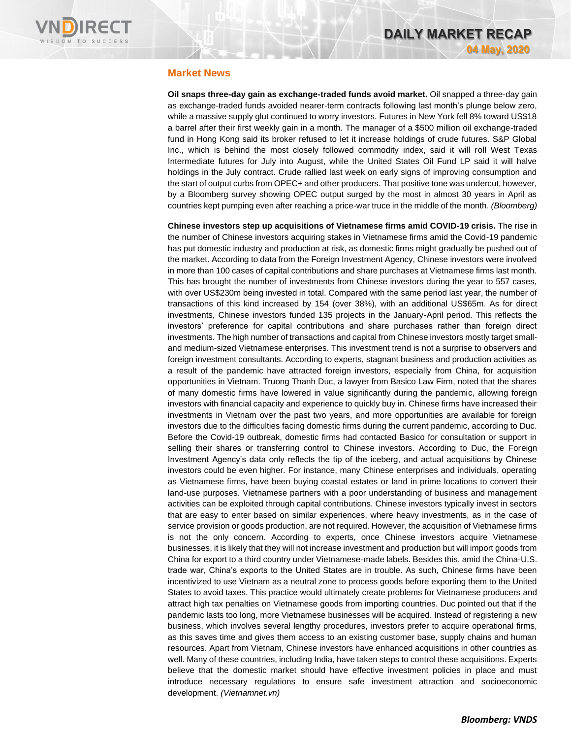

### **Market News**

**Oil snaps three-day gain as exchange-traded funds avoid market.** Oil snapped a three-day gain as exchange-traded funds avoided nearer-term contracts following last month's plunge below zero, while a massive supply glut continued to worry investors. Futures in New York fell 8% toward US\$18 a barrel after their first weekly gain in a month. The manager of a \$500 million oil exchange-traded fund in Hong Kong said its broker refused to let it increase holdings of crude futures. S&P Global Inc., which is behind the most closely followed commodity index, said it will roll West Texas Intermediate futures for July into August, while the United States Oil Fund LP said it will halve holdings in the July contract. Crude rallied last week on early signs of improving consumption and the start of output curbs from OPEC+ and other producers. That positive tone was undercut, however, by a Bloomberg survey showing OPEC output surged by the most in almost 30 years in April as countries kept pumping even after reaching a price-war truce in the middle of the month. *(Bloomberg)*

**Chinese investors step up acquisitions of Vietnamese firms amid COVID-19 crisis.** The rise in the number of Chinese investors acquiring stakes in Vietnamese firms amid the Covid-19 pandemic has put domestic industry and production at risk, as domestic firms might gradually be pushed out of the market. According to data from the Foreign Investment Agency, Chinese investors were involved in more than 100 cases of capital contributions and share purchases at Vietnamese firms last month. This has brought the number of investments from Chinese investors during the year to 557 cases, with over US\$230m being invested in total. Compared with the same period last year, the number of transactions of this kind increased by 154 (over 38%), with an additional US\$65m. As for direct investments, Chinese investors funded 135 projects in the January-April period. This reflects the investors' preference for capital contributions and share purchases rather than foreign direct investments. The high number of transactions and capital from Chinese investors mostly target smalland medium-sized Vietnamese enterprises. This investment trend is not a surprise to observers and foreign investment consultants. According to experts, stagnant business and production activities as a result of the pandemic have attracted foreign investors, especially from China, for acquisition opportunities in Vietnam. Truong Thanh Duc, a lawyer from Basico Law Firm, noted that the shares of many domestic firms have lowered in value significantly during the pandemic, allowing foreign investors with financial capacity and experience to quickly buy in. Chinese firms have increased their investments in Vietnam over the past two years, and more opportunities are available for foreign investors due to the difficulties facing domestic firms during the current pandemic, according to Duc. Before the Covid-19 outbreak, domestic firms had contacted Basico for consultation or support in selling their shares or transferring control to Chinese investors. According to Duc, the Foreign Investment Agency's data only reflects the tip of the iceberg, and actual acquisitions by Chinese investors could be even higher. For instance, many Chinese enterprises and individuals, operating as Vietnamese firms, have been buying coastal estates or land in prime locations to convert their land-use purposes. Vietnamese partners with a poor understanding of business and management activities can be exploited through capital contributions. Chinese investors typically invest in sectors that are easy to enter based on similar experiences, where heavy investments, as in the case of service provision or goods production, are not required. However, the acquisition of Vietnamese firms is not the only concern. According to experts, once Chinese investors acquire Vietnamese businesses, it is likely that they will not increase investment and production but will import goods from China for export to a third country under Vietnamese-made labels. Besides this, amid the China-U.S. trade war, China's exports to the United States are in trouble. As such, Chinese firms have been incentivized to use Vietnam as a neutral zone to process goods before exporting them to the United States to avoid taxes. This practice would ultimately create problems for Vietnamese producers and attract high tax penalties on Vietnamese goods from importing countries. Duc pointed out that if the pandemic lasts too long, more Vietnamese businesses will be acquired. Instead of registering a new business, which involves several lengthy procedures, investors prefer to acquire operational firms, as this saves time and gives them access to an existing customer base, supply chains and human resources. Apart from Vietnam, Chinese investors have enhanced acquisitions in other countries as well. Many of these countries, including India, have taken steps to control these acquisitions. Experts believe that the domestic market should have effective investment policies in place and must introduce necessary regulations to ensure safe investment attraction and socioeconomic development. *(Vietnamnet.vn)*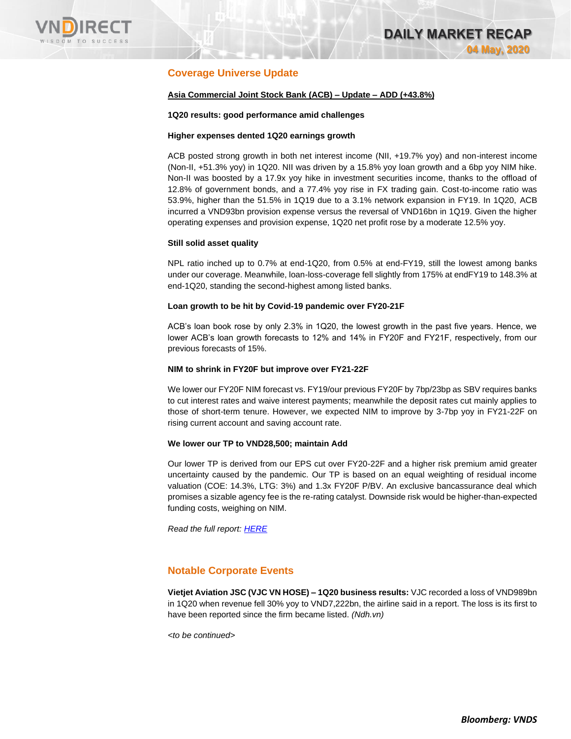

# **Coverage Universe Update**

### **Asia Commercial Joint Stock Bank (ACB) – Update – ADD (+43.8%)**

### **1Q20 results: good performance amid challenges**

### **Higher expenses dented 1Q20 earnings growth**

ACB posted strong growth in both net interest income (NII, +19.7% yoy) and non-interest income (Non-II, +51.3% yoy) in 1Q20. NII was driven by a 15.8% yoy loan growth and a 6bp yoy NIM hike. Non-II was boosted by a 17.9x yoy hike in investment securities income, thanks to the offload of 12.8% of government bonds, and a 77.4% yoy rise in FX trading gain. Cost-to-income ratio was 53.9%, higher than the 51.5% in 1Q19 due to a 3.1% network expansion in FY19. In 1Q20, ACB incurred a VND93bn provision expense versus the reversal of VND16bn in 1Q19. Given the higher operating expenses and provision expense, 1Q20 net profit rose by a moderate 12.5% yoy.

### **Still solid asset quality**

NPL ratio inched up to 0.7% at end-1Q20, from 0.5% at end-FY19, still the lowest among banks under our coverage. Meanwhile, loan-loss-coverage fell slightly from 175% at endFY19 to 148.3% at end-1Q20, standing the second-highest among listed banks.

### **Loan growth to be hit by Covid-19 pandemic over FY20-21F**

ACB's loan book rose by only 2.3% in 1Q20, the lowest growth in the past five years. Hence, we lower ACB's loan growth forecasts to 12% and 14% in FY20F and FY21F, respectively, from our previous forecasts of 15%.

### **NIM to shrink in FY20F but improve over FY21-22F**

We lower our FY20F NIM forecast vs. FY19/our previous FY20F by 7bp/23bp as SBV requires banks to cut interest rates and waive interest payments; meanwhile the deposit rates cut mainly applies to those of short-term tenure. However, we expected NIM to improve by 3-7bp yoy in FY21-22F on rising current account and saving account rate.

### **We lower our TP to VND28,500; maintain Add**

Our lower TP is derived from our EPS cut over FY20-22F and a higher risk premium amid greater uncertainty caused by the pandemic. Our TP is based on an equal weighting of residual income valuation (COE: 14.3%, LTG: 3%) and 1.3x FY20F P/BV. An exclusive bancassurance deal which promises a sizable agency fee is the re-rating catalyst. Downside risk would be higher-than-expected funding costs, weighing on NIM.

*Read the full report: [HERE](https://nhanha-public-api.vndirect.com.vn/click/OGE0ODlmZDA3MDFjZjM0OTAxNzAxZWQ4OTRkZjAwMDk=/MWNkZjU4OWUzNDMzNGM3ODg3NGVjZTQzMDUwOTM5OTU=/1cdf589e34334c78874ece4305093995-ACB_Update_20200430.pdf/cmVzZWFyY2hAdm5kaXJlY3QuY29tLnZu/MTgxMTE=)*

### **Notable Corporate Events**

**Vietjet Aviation JSC (VJC VN HOSE) – 1Q20 business results:** VJC recorded a loss of VND989bn in 1Q20 when revenue fell 30% yoy to VND7,222bn, the airline said in a report. The loss is its first to have been reported since the firm became listed. *(Ndh.vn)*

*<to be continued>*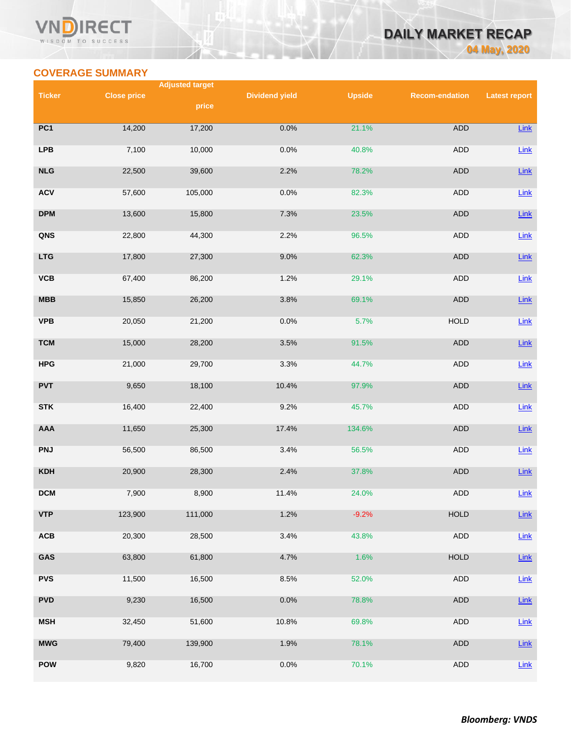# **COVERAGE SUMMARY**

WISDOM TO SUCCESS

**RECT** 

**VN** 

**Adjusted target** 

| <b>Ticker</b> | <b>Close price</b> | price   | <b>Dividend yield</b> | <b>Upside</b> | <b>Recom-endation</b> | <b>Latest report</b> |
|---------------|--------------------|---------|-----------------------|---------------|-----------------------|----------------------|
| PC1           | 14,200             | 17,200  | 0.0%                  | 21.1%         | <b>ADD</b>            | Link                 |
| <b>LPB</b>    | 7,100              | 10,000  | 0.0%                  | 40.8%         | ADD                   | $Link$               |
| NLG           | 22,500             | 39,600  | 2.2%                  | 78.2%         | <b>ADD</b>            | Link                 |
| <b>ACV</b>    | 57,600             | 105,000 | 0.0%                  | 82.3%         | ADD                   | Link                 |
| <b>DPM</b>    | 13,600             | 15,800  | 7.3%                  | 23.5%         | ADD                   | Link                 |
| QNS           | 22,800             | 44,300  | 2.2%                  | 96.5%         | <b>ADD</b>            | $Link$               |
| <b>LTG</b>    | 17,800             | 27,300  | 9.0%                  | 62.3%         | ADD                   | Link                 |
| VCB           | 67,400             | 86,200  | 1.2%                  | 29.1%         | <b>ADD</b>            | Link                 |
| <b>MBB</b>    | 15,850             | 26,200  | 3.8%                  | 69.1%         | ADD                   | Link                 |
| <b>VPB</b>    | 20,050             | 21,200  | 0.0%                  | 5.7%          | <b>HOLD</b>           | Link                 |
| <b>TCM</b>    | 15,000             | 28,200  | 3.5%                  | 91.5%         | <b>ADD</b>            | Link                 |
| <b>HPG</b>    | 21,000             | 29,700  | 3.3%                  | 44.7%         | ADD                   | Link                 |
| <b>PVT</b>    | 9,650              | 18,100  | 10.4%                 | 97.9%         | ADD                   | Link                 |
| <b>STK</b>    | 16,400             | 22,400  | 9.2%                  | 45.7%         | ADD                   | Link                 |
| AAA           | 11,650             | 25,300  | 17.4%                 | 134.6%        | <b>ADD</b>            | Link                 |
| <b>PNJ</b>    | 56,500             | 86,500  | 3.4%                  | 56.5%         | ADD                   | Link                 |
| <b>KDH</b>    | 20,900             | 28,300  | 2.4%                  | 37.8%         | ADD                   | Link                 |
| DCM           | 7,900              | 8,900   | 11.4%                 | 24.0%         | <b>ADD</b>            | Link                 |
| <b>VTP</b>    | 123,900            | 111,000 | 1.2%                  | $-9.2%$       | HOLD                  | Link                 |
| ACB           | 20,300             | 28,500  | 3.4%                  | 43.8%         | <b>ADD</b>            | Link                 |
| GAS           | 63,800             | 61,800  | 4.7%                  | 1.6%          | <b>HOLD</b>           | Link                 |
| <b>PVS</b>    | 11,500             | 16,500  | 8.5%                  | 52.0%         | ADD                   | Link                 |
| <b>PVD</b>    | 9,230              | 16,500  | 0.0%                  | 78.8%         | ADD                   | $Link$               |
| <b>MSH</b>    | 32,450             | 51,600  | 10.8%                 | 69.8%         | ADD                   | Link                 |
| <b>MWG</b>    | 79,400             | 139,900 | 1.9%                  | 78.1%         | ADD                   | Link                 |
| <b>POW</b>    | 9,820              | 16,700  | 0.0%                  | 70.1%         | ADD                   | Link                 |

**DAILY MARKET RECAP** 

**04 May, 2020**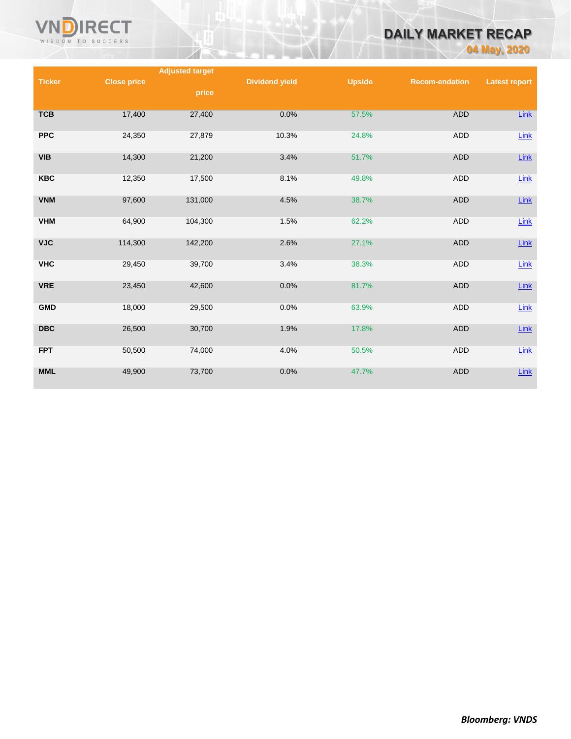

# **DAILY MARKET RECAP**

**04 May, 2020**

|               |                    | <b>Adjusted target</b> |                       |               |                       |                      |
|---------------|--------------------|------------------------|-----------------------|---------------|-----------------------|----------------------|
| <b>Ticker</b> | <b>Close price</b> |                        | <b>Dividend yield</b> | <b>Upside</b> | <b>Recom-endation</b> | <b>Latest report</b> |
|               |                    | price                  |                       |               |                       |                      |
|               |                    |                        |                       |               |                       |                      |
| <b>TCB</b>    | 17,400             | 27,400                 | 0.0%                  | 57.5%         | <b>ADD</b>            | Link                 |
|               |                    |                        |                       |               |                       |                      |
| <b>PPC</b>    | 24,350             | 27,879                 | 10.3%                 | 24.8%         | <b>ADD</b>            | Link                 |
|               |                    |                        |                       |               |                       |                      |
| <b>VIB</b>    | 14,300             | 21,200                 | 3.4%                  | 51.7%         | <b>ADD</b>            | $Link$               |
|               |                    |                        |                       |               |                       |                      |
| <b>KBC</b>    | 12,350             | 17,500                 | 8.1%                  | 49.8%         | ADD                   | $Link$               |
|               |                    |                        |                       |               |                       |                      |
| <b>VNM</b>    | 97,600             | 131,000                | 4.5%                  | 38.7%         | <b>ADD</b>            | $Link$               |
| <b>VHM</b>    | 64,900             | 104,300                | 1.5%                  | 62.2%         | <b>ADD</b>            | Link                 |
|               |                    |                        |                       |               |                       |                      |
| <b>VJC</b>    | 114,300            | 142,200                | 2.6%                  | 27.1%         | <b>ADD</b>            | $Link$               |
|               |                    |                        |                       |               |                       |                      |
| <b>VHC</b>    | 29,450             | 39,700                 | 3.4%                  | 38.3%         | <b>ADD</b>            | Link                 |
|               |                    |                        |                       |               |                       |                      |
| <b>VRE</b>    | 23,450             | 42,600                 | 0.0%                  | 81.7%         | <b>ADD</b>            | $Link$               |
|               |                    |                        |                       |               |                       |                      |
| <b>GMD</b>    | 18,000             | 29,500                 | 0.0%                  | 63.9%         | <b>ADD</b>            | Link                 |
|               |                    |                        |                       |               |                       |                      |
| <b>DBC</b>    | 26,500             | 30,700                 | 1.9%                  | 17.8%         | <b>ADD</b>            | $Link$               |
|               |                    |                        |                       |               |                       |                      |
| <b>FPT</b>    | 50,500             | 74,000                 | 4.0%                  | 50.5%         | <b>ADD</b>            | Link                 |
|               |                    |                        |                       |               |                       |                      |
| <b>MML</b>    | 49,900             | 73,700                 | 0.0%                  | 47.7%         | <b>ADD</b>            | $Link$               |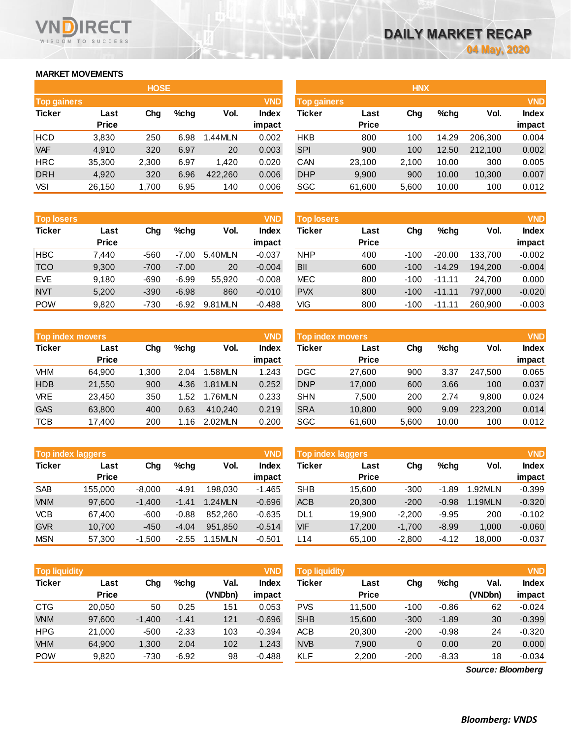## **MARKET MOVEMENTS**

WISDOM TO SUCCESS

**RECT** 

VND

| <b>HOSE</b>        |              |       |      |         |              |  |  |  |  |
|--------------------|--------------|-------|------|---------|--------------|--|--|--|--|
| <b>Top gainers</b> |              |       |      |         | <b>VND</b>   |  |  |  |  |
| <b>Ticker</b>      | Last         | Cha   | %chq | Vol.    | <b>Index</b> |  |  |  |  |
|                    | <b>Price</b> |       |      |         | impact       |  |  |  |  |
| <b>HCD</b>         | 3,830        | 250   | 6.98 | 1.44MLN | 0.002        |  |  |  |  |
| <b>VAF</b>         | 4,910        | 320   | 6.97 | 20      | 0.003        |  |  |  |  |
| <b>HRC</b>         | 35,300       | 2,300 | 6.97 | 1.420   | 0.020        |  |  |  |  |
| <b>DRH</b>         | 4,920        | 320   | 6.96 | 422,260 | 0.006        |  |  |  |  |
| VSI                | 26,150       | 1,700 | 6.95 | 140     | 0.006        |  |  |  |  |

| <b>Top losers</b> |              |        |         |         | <b>VND</b>   |
|-------------------|--------------|--------|---------|---------|--------------|
| <b>Ticker</b>     | Last         | Cha    | %chq    | Vol.    | <b>Index</b> |
|                   | <b>Price</b> |        |         |         | impact       |
| <b>HBC</b>        | 7.440        | $-560$ | $-7.00$ | 5.40MLN | $-0.037$     |
| <b>TCO</b>        | 9,300        | $-700$ | $-7.00$ | 20      | $-0.004$     |
| <b>EVE</b>        | 9,180        | $-690$ | $-6.99$ | 55,920  | $-0.008$     |
| <b>NVT</b>        | 5,200        | $-390$ | $-6.98$ | 860     | $-0.010$     |
| <b>POW</b>        | 9.820        | $-730$ | $-6.92$ | 9.81MLN | $-0.488$     |

|               | <b>Top index movers</b> |       |      |         |              |  |  |  |  |
|---------------|-------------------------|-------|------|---------|--------------|--|--|--|--|
| <b>Ticker</b> | Last                    | Cha   | %chq | Vol.    | <b>Index</b> |  |  |  |  |
|               | <b>Price</b>            |       |      |         | impact       |  |  |  |  |
| <b>VHM</b>    | 64,900                  | 1,300 | 2.04 | 1.58MLN | 1.243        |  |  |  |  |
| <b>HDB</b>    | 21,550                  | 900   | 4.36 | 1.81MLN | 0.252        |  |  |  |  |
| <b>VRE</b>    | 23,450                  | 350   | 1.52 | 1.76MLN | 0.233        |  |  |  |  |
| <b>GAS</b>    | 63,800                  | 400   | 0.63 | 410,240 | 0.219        |  |  |  |  |
| <b>TCB</b>    | 17,400                  | 200   | 1.16 | 2.02MLN | 0.200        |  |  |  |  |

|               | <b>Top index laggers</b> |          |         |         |              |  |  |  |  |
|---------------|--------------------------|----------|---------|---------|--------------|--|--|--|--|
| <b>Ticker</b> | Last                     | Cha      | %chq    | Vol.    | <b>Index</b> |  |  |  |  |
|               | <b>Price</b>             |          |         |         | impact       |  |  |  |  |
| <b>SAB</b>    | 155,000                  | $-8,000$ | $-4.91$ | 198,030 | $-1.465$     |  |  |  |  |
| <b>VNM</b>    | 97,600                   | $-1,400$ | $-1.41$ | 1.24MLN | $-0.696$     |  |  |  |  |
| <b>VCB</b>    | 67,400                   | $-600$   | $-0.88$ | 852.260 | $-0.635$     |  |  |  |  |
| <b>GVR</b>    | 10,700                   | $-450$   | $-4.04$ | 951,850 | $-0.514$     |  |  |  |  |
| <b>MSN</b>    | 57,300                   | $-1,500$ | $-2.55$ | 1.15MLN | $-0.501$     |  |  |  |  |

|               | <b>Top liquidity</b><br><b>VND</b> |          |         |                 |                 |            | <b>Top liquidity</b> |        |         |                 | <b>VND</b>      |
|---------------|------------------------------------|----------|---------|-----------------|-----------------|------------|----------------------|--------|---------|-----------------|-----------------|
| <b>Ticker</b> | Last<br><b>Price</b>               | Chg      | %chq    | Val.<br>(VNDbn) | Index<br>impact | Ticker     | Last<br><b>Price</b> | Chg    | $%$ chq | Val.<br>(VNDbn) | Index<br>impact |
| <b>CTG</b>    | 20.050                             | 50       | 0.25    | 151             | 0.053           | <b>PVS</b> | 11.500               | $-100$ | $-0.86$ | 62              | $-0.024$        |
| <b>VNM</b>    | 97,600                             | $-1,400$ | $-1.41$ | 121             | $-0.696$        | <b>SHB</b> | 15,600               | $-300$ | $-1.89$ | 30              | $-0.399$        |
| <b>HPG</b>    | 21,000                             | $-500$   | $-2.33$ | 103             | $-0.394$        | <b>ACB</b> | 20,300               | $-200$ | $-0.98$ | 24              | $-0.320$        |
| <b>VHM</b>    | 64,900                             | 1,300    | 2.04    | 102             | 1.243           | <b>NVB</b> | 7,900                | 0      | 0.00    | 20              | 0.000           |
| <b>POW</b>    | 9,820                              | $-730$   | $-6.92$ | 98              | $-0.488$        | <b>KLF</b> | 2,200                | $-200$ | $-8.33$ | 18              | $-0.034$        |

| <b>VND</b><br>Top gainers |       |         |             |              | <b>Top gainers</b> |              |       |         |            | <b>VND</b>   |
|---------------------------|-------|---------|-------------|--------------|--------------------|--------------|-------|---------|------------|--------------|
| Last                      | Chg   | $%$ chg | Vol.        | <b>Index</b> | Ticker             | Last         | Chg   | $%$ chg | Vol.       | <b>Index</b> |
| <b>Price</b>              |       |         |             | impact       |                    | <b>Price</b> |       |         |            | impact       |
| 3,830                     | 250   | 6.98    | 1.44MLN     | 0.002        | <b>HKB</b>         | 800          | 100   | 14.29   | 206.300    | 0.004        |
| 4,910                     | 320   | 6.97    | 20          | 0.003        | <b>SPI</b>         | 900          | 100   | 12.50   | 212,100    | 0.002        |
| 35,300                    | 2,300 | 6.97    | 1.420       | 0.020        | CAN                | 23,100       | 2,100 | 10.00   | 300        | 0.005        |
| 4,920                     | 320   | 6.96    | 422,260     | 0.006        | <b>DHP</b>         | 9,900        | 900   | 10.00   | 10,300     | 0.007        |
| 26,150                    | 1,700 | 6.95    | 140         | 0.006        | SGC                | 61,600       | 5,600 | 10.00   | 100        | 0.012        |
|                           |       |         | <b>HOSE</b> |              |                    |              |       |         | <b>HNX</b> |              |

| <b>Top losers</b> |                      |        |         |         | <b>VND</b>             | <b>Top losers</b> |                      |        |          |         | <b>VND</b>             |
|-------------------|----------------------|--------|---------|---------|------------------------|-------------------|----------------------|--------|----------|---------|------------------------|
| Ticker            | Last<br><b>Price</b> | Chg    | $%$ chg | Vol.    | <b>Index</b><br>impact | Ticker            | Last<br><b>Price</b> | Chg    | $%$ chg  | Vol.    | <b>Index</b><br>impact |
| HBC               | 7,440                | $-560$ | $-7.00$ | 5.40MLN | $-0.037$               | <b>NHP</b>        | 400                  | $-100$ | $-20.00$ | 133.700 | $-0.002$               |
| TCO               | 9,300                | $-700$ | $-7.00$ | 20      | $-0.004$               | <b>BII</b>        | 600                  | $-100$ | $-14.29$ | 194.200 | $-0.004$               |
| <b>EVE</b>        | 9,180                | -690   | $-6.99$ | 55.920  | $-0.008$               | <b>MEC</b>        | 800                  | $-100$ | $-11.11$ | 24.700  | 0.000                  |
| NVT               | 5,200                | $-390$ | $-6.98$ | 860     | $-0.010$               | <b>PVX</b>        | 800                  | $-100$ | $-11.11$ | 797.000 | $-0.020$               |
| POW               | 9,820                | $-730$ | $-6.92$ | 9.81MLN | $-0.488$               | VIG               | 800                  | $-100$ | $-11.11$ | 260.900 | $-0.003$               |

|            | <b>VND</b><br><b>Top index movers</b> |       |         |         |                        |            | Top index movers     |       |       | <b>VND</b> |                        |
|------------|---------------------------------------|-------|---------|---------|------------------------|------------|----------------------|-------|-------|------------|------------------------|
| Ticker     | Last<br><b>Price</b>                  | Chg   | $%$ chg | Vol.    | <b>Index</b><br>impact | Ticker     | Last<br><b>Price</b> | Chg   | %chq  | Vol.       | <b>Index</b><br>impact |
| VHM        | 64,900                                | 1.300 | 2.04    | 1.58MLN | 1.243                  | <b>DGC</b> | 27,600               | 900   | 3.37  | 247,500    | 0.065                  |
| <b>HDB</b> | 21.550                                | 900   | 4.36    | 1.81MLN | 0.252                  | <b>DNP</b> | 17,000               | 600   | 3.66  | 100        | 0.037                  |
| VRE        | 23.450                                | 350   | 1.52    | 1.76MLN | 0.233                  | <b>SHN</b> | 7.500                | 200   | 2.74  | 9.800      | 0.024                  |
| <b>GAS</b> | 63,800                                | 400   | 0.63    | 410.240 | 0.219                  | <b>SRA</b> | 10.800               | 900   | 9.09  | 223.200    | 0.014                  |
| тсв        | 17,400                                | 200   | 1.16    | 2.02MLN | 0.200                  | <b>SGC</b> | 61,600               | 5,600 | 10.00 | 100        | 0.012                  |

|            | <b>Top index laggers</b> |          |         |         |              | <b>VND</b><br><b>Top index laggers</b> |              |          |         |         |              |
|------------|--------------------------|----------|---------|---------|--------------|----------------------------------------|--------------|----------|---------|---------|--------------|
| Ticker     | Last                     | Chg      | $%$ chg | Vol.    | <b>Index</b> | Ticker                                 | Last         | Chg      | $%$ chg | Vol.    | <b>Index</b> |
|            | <b>Price</b>             |          |         |         | impact       |                                        | <b>Price</b> |          |         |         | impact       |
| <b>SAB</b> | 155.000                  | $-8.000$ | $-4.91$ | 198.030 | $-1.465$     | <b>SHB</b>                             | 15.600       | $-300$   | $-1.89$ | 1.92MLN | $-0.399$     |
| <b>VNM</b> | 97,600                   | $-1.400$ | $-1.41$ | 1.24MLN | $-0.696$     | <b>ACB</b>                             | 20,300       | $-200$   | $-0.98$ | 1.19MLN | $-0.320$     |
| VCB        | 67.400                   | $-600$   | $-0.88$ | 852.260 | $-0.635$     | DL <sub>1</sub>                        | 19.900       | $-2.200$ | $-9.95$ | 200     | $-0.102$     |
| <b>GVR</b> | 10.700                   | $-450$   | $-4.04$ | 951.850 | $-0.514$     | <b>VIF</b>                             | 17.200       | $-1.700$ | $-8.99$ | 1.000   | $-0.060$     |
| <b>MSN</b> | 57,300                   | $-1.500$ | $-2.55$ | 1.15MLN | $-0.501$     | L14                                    | 65,100       | $-2.800$ | $-4.12$ | 18,000  | $-0.037$     |

| <b>Top liquidity</b> |              |          |         |         | <b>VND</b>   | <b>Top liquidity</b> |              |        |         |                   | <b>VND</b>   |
|----------------------|--------------|----------|---------|---------|--------------|----------------------|--------------|--------|---------|-------------------|--------------|
| Ticker               | Last         | Chg      | $%$ chg | Val.    | <b>Index</b> | Ticker               | Last         | Chg    | $%$ chg | Val.              | <b>Index</b> |
|                      | <b>Price</b> |          |         | (VNDbn) | impact       |                      | <b>Price</b> |        |         | (VNDbn)           | impact       |
| CTG                  | 20.050       | 50       | 0.25    | 151     | 0.053        | <b>PVS</b>           | 11,500       | $-100$ | $-0.86$ | 62                | $-0.024$     |
| <b>VNM</b>           | 97.600       | $-1,400$ | $-1.41$ | 121     | $-0.696$     | <b>SHB</b>           | 15,600       | $-300$ | $-1.89$ | 30                | $-0.399$     |
| HPG                  | 21,000       | $-500$   | $-2.33$ | 103     | $-0.394$     | <b>ACB</b>           | 20,300       | $-200$ | $-0.98$ | 24                | $-0.320$     |
| <b>VHM</b>           | 64,900       | 1,300    | 2.04    | 102     | 1.243        | <b>NVB</b>           | 7,900        | 0      | 0.00    | 20                | 0.000        |
| <b>POW</b>           | 9,820        | $-730$   | $-6.92$ | 98      | $-0.488$     | <b>KLF</b>           | 2,200        | $-200$ | $-8.33$ | 18                | $-0.034$     |
|                      |              |          |         |         |              |                      |              |        |         | Source: Bloomberg |              |

*Source: Bloomberg*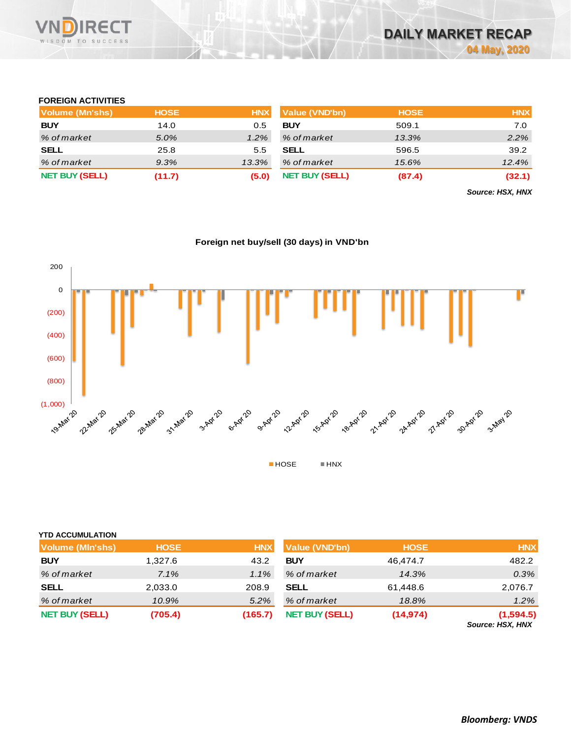

### **FOREIGN ACTIVITIES**

| Volume (Mn'shs)       | <b>HOSE</b> | <b>HNX</b> | Value (VND'bn)        | <b>HOSE</b> | <b>HNX</b> |
|-----------------------|-------------|------------|-----------------------|-------------|------------|
| <b>BUY</b>            | 14.0        | 0.5        | <b>BUY</b>            | 509.1       | 7.0        |
| % of market           | 5.0%        | 1.2%       | % of market           | 13.3%       | $2.2\%$    |
| <b>SELL</b>           | 25.8        | 5.5        | <b>SELL</b>           | 596.5       | 39.2       |
| % of market           | 9.3%        | 13.3%      | % of market           | 15.6%       | 12.4%      |
| <b>NET BUY (SELL)</b> | (11.7)      | (5.0)      | <b>NET BUY (SELL)</b> | (87.4)      | (32.1)     |

*Source: HSX, HNX*





| <b>Volume (MIn'shs)</b> | <b>HOSE</b> | <b>HNX</b> | Value (VND'bn)        | <b>HOSE</b> | <b>HNX</b>                           |
|-------------------------|-------------|------------|-----------------------|-------------|--------------------------------------|
| <b>BUY</b>              | 1,327.6     | 43.2       | <b>BUY</b>            | 46.474.7    | 482.2                                |
| % of market             | $7.1\%$     | $1.1\%$    | % of market           | 14.3%       | $0.3\%$                              |
| <b>SELL</b>             | 2,033.0     | 208.9      | <b>SELL</b>           | 61,448.6    | 2,076.7                              |
| % of market             | 10.9%       | 5.2%       | % of market           | 18.8%       | $1.2\%$                              |
| <b>NET BUY (SELL)</b>   | (705.4)     | (165.7)    | <b>NET BUY (SELL)</b> | (14, 974)   | (1,594.5)<br>$P_{\text{2}}$ $\ldots$ |

*Source: HSX, HNX*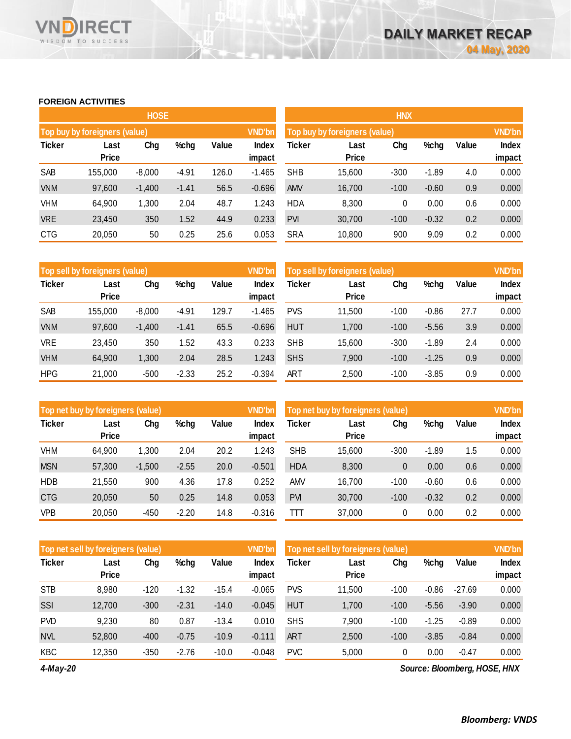### **FOREIGN ACTIVITIES**

WISDOM TO SUCCESS

**RECT** 

VND

|               |                                     | <b>HOSE</b> |         |       |               | <b>HNX</b>                             |               |        |         |     |        |  |
|---------------|-------------------------------------|-------------|---------|-------|---------------|----------------------------------------|---------------|--------|---------|-----|--------|--|
|               | Top buy by foreigners (value)       |             |         |       | <b>VND'bn</b> | Top buy by foreigners (value)          | <b>VND'bn</b> |        |         |     |        |  |
| <b>Ticker</b> | Chg<br>%chg<br>Last<br><b>Price</b> |             |         |       | Index         | Ticker<br>Chg<br>Value<br>%chg<br>Last |               |        |         |     | Index  |  |
|               |                                     |             |         |       | impact        |                                        | <b>Price</b>  |        |         |     | impact |  |
| SAB           | 155,000                             | $-8,000$    | $-4.91$ | 126.0 | $-1.465$      | <b>SHB</b>                             | 15,600        | $-300$ | $-1.89$ | 4.0 | 0.000  |  |
| <b>VNM</b>    | 97,600                              | $-1,400$    | $-1.41$ | 56.5  | $-0.696$      | <b>AMV</b>                             | 16,700        | $-100$ | $-0.60$ | 0.9 | 0.000  |  |
| VHM           | 64,900                              | 1,300       | 2.04    | 48.7  | 1.243         | <b>HDA</b>                             | 8,300         | 0      | 0.00    | 0.6 | 0.000  |  |
| <b>VRE</b>    | 23,450                              | 350         | 1.52    | 44.9  | 0.233         | <b>PVI</b>                             | 30,700        | $-100$ | $-0.32$ | 0.2 | 0.000  |  |
| <b>CTG</b>    | 20,050                              | 50          | 0.25    | 25.6  | 0.053         | <b>SRA</b>                             | 10,800        | 900    | 9.09    | 0.2 | 0.000  |  |
|               |                                     |             |         |       |               |                                        |               |        |         |     |        |  |

|               | Top sell by foreigners (value) |          |         |       |                 | <b>VND'bn</b><br>Top sell by foreigners (value) |                      |        |         |       | <b>VND'bn</b>          |
|---------------|--------------------------------|----------|---------|-------|-----------------|-------------------------------------------------|----------------------|--------|---------|-------|------------------------|
| <b>Ticker</b> | Last<br><b>Price</b>           | Chg      | %chg    | Value | Index<br>impact | Ticker                                          | Last<br><b>Price</b> | Chg    | %chg    | Value | <b>Index</b><br>impact |
| SAB           | 155,000                        | $-8,000$ | -4.91   | 129.7 | $-1.465$        | <b>PVS</b>                                      | 11,500               | $-100$ | $-0.86$ | 27.7  | 0.000                  |
| <b>VNM</b>    | 97,600                         | $-1,400$ | $-1.41$ | 65.5  | $-0.696$        | <b>HUT</b>                                      | 1.700                | $-100$ | $-5.56$ | 3.9   | 0.000                  |
| <b>VRE</b>    | 23.450                         | 350      | 1.52    | 43.3  | 0.233           | <b>SHB</b>                                      | 15,600               | $-300$ | $-1.89$ | 2.4   | 0.000                  |
| <b>VHM</b>    | 64,900                         | 1,300    | 2.04    | 28.5  | 1.243           | <b>SHS</b>                                      | 7,900                | $-100$ | $-1.25$ | 0.9   | 0.000                  |
| <b>HPG</b>    | 21,000                         | $-500$   | $-2.33$ | 25.2  | $-0.394$        | ART                                             | 2,500                | $-100$ | $-3.85$ | 0.9   | 0.000                  |

|               | Top net buy by foreigners (value) |          |         |       |                 | Top net buy by foreigners (value) |                      |        |         |       | <b>VND'bn</b>   |
|---------------|-----------------------------------|----------|---------|-------|-----------------|-----------------------------------|----------------------|--------|---------|-------|-----------------|
| <b>Ticker</b> | Last<br><b>Price</b>              | Chg      | %chg    | Value | Index<br>impact | Ticker                            | Last<br><b>Price</b> | Chg    | %chg    | Value | Index<br>impact |
|               |                                   |          |         |       |                 |                                   |                      |        |         |       |                 |
| <b>VHM</b>    | 64,900                            | 1,300    | 2.04    | 20.2  | 1.243           | <b>SHB</b>                        | 15,600               | $-300$ | $-1.89$ | 1.5   | 0.000           |
| <b>MSN</b>    | 57,300                            | $-1,500$ | $-2.55$ | 20.0  | $-0.501$        | <b>HDA</b>                        | 8,300                | 0      | 0.00    | 0.6   | 0.000           |
| <b>HDB</b>    | 21.550                            | 900      | 4.36    | 17.8  | 0.252           | AMV                               | 16,700               | $-100$ | $-0.60$ | 0.6   | 0.000           |
| <b>CTG</b>    | 20,050                            | 50       | 0.25    | 14.8  | 0.053           | <b>PVI</b>                        | 30,700               | $-100$ | $-0.32$ | 0.2   | 0.000           |
| <b>VPB</b>    | 20,050                            | $-450$   | $-2.20$ | 14.8  | $-0.316$        | ΠТ                                | 37,000               | 0      | 0.00    | 0.2   | 0.000           |

|               | <b>VND'bn</b><br>Top net sell by foreigners (value) |        |         |         |          |            | Top net sell by foreigners (value) |        |         |          |        |
|---------------|-----------------------------------------------------|--------|---------|---------|----------|------------|------------------------------------|--------|---------|----------|--------|
| <b>Ticker</b> | Last                                                | Chg    | %chg    | Value   | Index    | Ticker     | Last                               | Chg    | %chg    | Value    | Index  |
|               | <b>Price</b>                                        |        |         |         | impact   |            | <b>Price</b>                       |        |         |          | impact |
| <b>STB</b>    | 8.980                                               | $-120$ | $-1.32$ | $-15.4$ | $-0.065$ | <b>PVS</b> | 11.500                             | $-100$ | $-0.86$ | $-27.69$ | 0.000  |
| SSI           | 12,700                                              | $-300$ | $-2.31$ | $-14.0$ | $-0.045$ | <b>HUT</b> | 1,700                              | $-100$ | $-5.56$ | $-3.90$  | 0.000  |
| <b>PVD</b>    | 9,230                                               | 80     | 0.87    | $-13.4$ | 0.010    | <b>SHS</b> | 7,900                              | $-100$ | $-1.25$ | $-0.89$  | 0.000  |
| <b>NVL</b>    | 52,800                                              | $-400$ | $-0.75$ | $-10.9$ | $-0.111$ | ART        | 2,500                              | $-100$ | $-3.85$ | $-0.84$  | 0.000  |
| <b>KBC</b>    | 12,350                                              | $-350$ | $-2.76$ | $-10.0$ | $-0.048$ | <b>PVC</b> | 5.000                              | 0      | 0.00    | $-0.47$  | 0.000  |

*4-May-20*

*Source: Bloomberg, HOSE, HNX*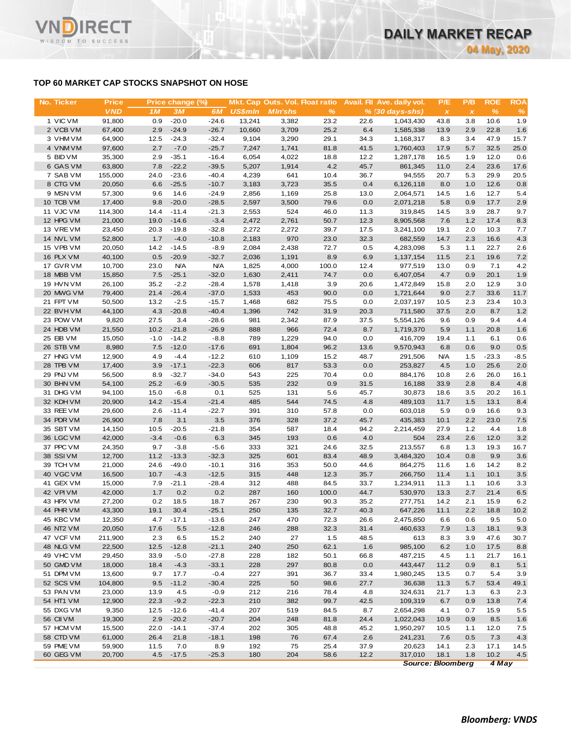# **TOP 60 MARKET CAP STOCKS SNAPSHOT ON HOSE**

**RECT** 

WISDOM TO SUCCESS

VND

| No. Ticker             | <b>Price</b>      |                | Price change (%)   |                   |                | Mkt. Cap Outs. Vol. Float ratio |              |              | Avail. Fil Ave. daily vol. | P/E            | P/B            | <b>ROE</b>    | <b>ROA</b>  |
|------------------------|-------------------|----------------|--------------------|-------------------|----------------|---------------------------------|--------------|--------------|----------------------------|----------------|----------------|---------------|-------------|
|                        | <b>VND</b>        | 1 <sub>M</sub> | 3M                 | 6M                | <b>US\$mln</b> | <b>MIn'shs</b>                  | $\%$         |              | $% (30 days-shs)$          | $\pmb{\times}$ | $\pmb{\times}$ | $\frac{9}{6}$ | %           |
| 1 VIC VM               | 91,800            | 0.9            | $-20.0$            | $-24.6$           | 13,241         | 3,382                           | 23.2         | 22.6         | 1,043,430                  | 43.8           | 3.8            | 10.6          | 1.9         |
| 2 VCB VM               | 67,400            | 2.9            | $-24.9$            | $-26.7$           | 10,660         | 3,709                           | 25.2         | 6.4          | 1,585,338                  | 13.9           | 2.9            | 22.8          | 1.6         |
| 3 VHM VM               | 64,900            | 12.5           | $-24.3$            | $-32.4$           | 9,104          | 3,290                           | 29.1         | 34.3         | 1,168,317                  | 8.3            | 3.4            | 47.9          | 15.7        |
| 4 VNM VM               | 97,600            | 2.7            | $-7.0$             | $-25.7$           | 7,247          | 1,741                           | 81.8         | 41.5         | 1,760,403                  | 17.9           | 5.7            | 32.5          | 25.0        |
| 5 BID VM               | 35,300            | 2.9            | $-35.1$            | $-16.4$           | 6,054          | 4,022                           | 18.8         | 12.2         | 1,287,178                  | 16.5           | 1.9            | 12.0          | 0.6         |
| 6 GAS VM               | 63,800            | 7.8            | $-22.2$            | $-39.5$           | 5,207          | 1,914                           | 4.2          | 45.7         | 861,345                    | 11.0           | 2.4            | 23.6          | 17.6        |
| 7 SAB VM               | 155,000           | 24.0           | $-23.6$            | $-40.4$           | 4,239          | 641                             | 10.4         | 36.7         | 94,555                     | 20.7           | 5.3            | 29.9          | 20.5        |
| 8 CTG VM               | 20,050            | 6.6            | $-25.5$            | $-10.7$           | 3,183          | 3,723                           | 35.5         | 0.4          | 6,126,118                  | 8.0            | 1.0            | 12.6          | 0.8         |
| 9 MSN VM               | 57,300            | 9.6            | 14.6               | $-24.9$           | 2,856          | 1,169                           | 25.8         | 13.0         | 2,064,571                  | 14.5           | 1.6            | 12.7          | 5.4         |
| 10 TCB VM              | 17,400            | 9.8            | $-20.0$            | $-28.5$           | 2,597          | 3,500                           | 79.6         | 0.0          | 2,071,218                  | 5.8            | 0.9            | 17.7          | 2.9         |
| 11 VJC VM<br>12 HPG VM | 114,300<br>21,000 | 14.4<br>19.0   | $-11.4$<br>$-14.6$ | $-21.3$<br>$-3.4$ | 2,553<br>2,472 | 524<br>2,761                    | 46.0<br>50.7 | 11.3<br>12.3 | 319,845<br>8,905,568       | 14.5<br>7.6    | 3.9<br>1.2     | 28.7<br>17.4  | 9.7         |
| 13 VREVM               | 23,450            | 20.3           | $-19.8$            | $-32.8$           | 2,272          | 2,272                           | 39.7         | 17.5         | 3,241,100                  | 19.1           | 2.0            | 10.3          | 8.3<br>7.7  |
| 14 NVL VM              | 52,800            | 1.7            | $-4.0$             | $-10.8$           | 2,183          | 970                             | 23.0         | 32.3         | 682,559                    | 14.7           | 2.3            | 16.6          | 4.3         |
| 15 VPB VM              | 20,050            | 14.2           | $-14.5$            | $-8.9$            | 2,084          | 2,438                           | 72.7         | 0.5          | 4,283,098                  | 5.3            | 1.1            | 22.7          | 2.6         |
| 16 PLX VM              | 40,100            | 0.5            | $-20.9$            | $-32.7$           | 2,036          | 1,191                           | 8.9          | 6.9          | 1,137,154                  | 11.5           | 2.1            | 19.6          | 7.2         |
| 17 GVR VM              | 10,700            | 23.0           | <b>N/A</b>         | <b>N/A</b>        | 1,825          | 4,000                           | 100.0        | 12.4         | 977,519                    | 13.0           | 0.9            | 7.1           | 4.2         |
| 18 MBB VM              | 15,850            | 7.5            | $-25.1$            | $-32.0$           | 1,630          | 2,411                           | 74.7         | 0.0          | 6,407,054                  | 4.7            | 0.9            | 20.1          | 1.9         |
| 19 HVN VM              | 26,100            | 35.2           | $-2.2$             | $-28.4$           | 1,578          | 1,418                           | 3.9          | 20.6         | 1,472,849                  | 15.8           | 2.0            | 12.9          | 3.0         |
| 20 MWG VM              | 79,400            | 21.4           | $-26.4$            | $-37.0$           | 1,533          | 453                             | 90.0         | 0.0          | 1,721,644                  | 9.0            | 2.7            | 33.6          | 11.7        |
| 21 FPT VM              | 50,500            | 13.2           | $-2.5$             | $-15.7$           | 1,468          | 682                             | 75.5         | 0.0          | 2,037,197                  | 10.5           | 2.3            | 23.4          | 10.3        |
| 22 BVHVM               | 44,100            | 4.3            | $-20.8$            | $-40.4$           | 1,396          | 742                             | 31.9         | 20.3         | 711,580                    | 37.5           | 2.0            | 8.7           | 1.2         |
| 23 POW VM              | 9,820             | 27.5           | 3.4                | $-28.6$           | 981            | 2,342                           | 87.9         | 37.5         | 5,554,126                  | 9.6            | 0.9            | 9.4           | 4.4         |
| 24 HDB VM              | 21,550            | 10.2           | $-21.8$            | $-26.9$           | 888            | 966                             | 72.4         | 8.7          | 1,719,370                  | 5.9            | 1.1            | 20.8          | 1.6         |
| 25 EIB VM              | 15,050            | $-1.0$         | $-14.2$            | $-8.8$            | 789            | 1,229                           | 94.0         | 0.0          | 416,709                    | 19.4           | 1.1            | 6.1           | 0.6         |
| 26 STB VM              | 8,980             | 7.5            | $-12.0$            | $-17.6$           | 691            | 1,804                           | 96.2         | 13.6         | 9,570,943                  | 6.8            | 0.6            | 9.0           | 0.5         |
| 27 HNG VM              | 12,900            | 4.9            | $-4.4$             | $-12.2$           | 610            | 1,109                           | 15.2         | 48.7         | 291,506                    | <b>N/A</b>     | 1.5            | $-23.3$       | $-8.5$      |
| 28 TPB VM              | 17,400            | 3.9            | $-17.1$            | $-22.3$           | 606            | 817                             | 53.3         | 0.0          | 253,827                    | 4.5            | 1.0            | 25.6          | 2.0         |
| 29 PNJ VM              | 56,500            | 8.9            | $-32.7$            | $-34.0$           | 543            | 225                             | 70.4         | 0.0          | 884,176                    | 10.8           | 2.6            | 26.0          | 16.1        |
| 30 BHN VM              | 54,100            | 25.2           | $-6.9$             | $-30.5$           | 535            | 232                             | 0.9          | 31.5         | 16,188                     | 33.9           | 2.8            | 8.4           | 4.8         |
| 31 DHG VM              | 94,100            | 15.0           | $-6.8$             | 0.1               | 525            | 131                             | 5.6          | 45.7         | 30,873                     | 18.6           | 3.5            | 20.2          | 16.1        |
| 32 KDH VM              | 20,900            | 14.2           | $-15.4$            | $-21.4$           | 485            | 544                             | 74.5         | 4.8          | 489,103                    | 11.7           | 1.5            | 13.1          | 8.4         |
| 33 REE VM              | 29,600            | 2.6            | $-11.4$            | $-22.7$           | 391            | 310                             | 57.8         | 0.0          | 603,018                    | 5.9            | 0.9            | 16.6          | 9.3         |
| 34 PDR VM<br>35 SBT VM | 26,900<br>14,150  | 7.8<br>10.5    | 3.1<br>$-20.5$     | 3.5<br>$-21.8$    | 376<br>354     | 328<br>587                      | 37.2<br>18.4 | 45.7<br>94.2 | 435,383                    | 10.1           | 2.2<br>1.2     | 23.0<br>4.4   | 7.5<br>1.8  |
| 36 LGC VM              | 42,000            | $-3.4$         | $-0.6$             | 6.3               | 345            | 193                             | 0.6          | 4.0          | 2,214,459<br>504           | 27.9<br>23.4   | 2.6            | 12.0          | 3.2         |
| 37 PPC VM              | 24,350            | 9.7            | $-3.8$             | $-5.6$            | 333            | 321                             | 24.6         | 32.5         | 213,557                    | 6.8            | 1.3            | 19.3          | 16.7        |
| 38 SSIVM               | 12,700            | 11.2           | $-13.3$            | $-32.3$           | 325            | 601                             | 83.4         | 48.9         | 3,484,320                  | 10.4           | 0.8            | 9.9           | 3.6         |
| 39 TCH VM              | 21,000            | 24.6           | $-49.0$            | $-10.1$           | 316            | 353                             | 50.0         | 44.6         | 864,275                    | 11.6           | 1.6            | 14.2          | 8.2         |
| 40 VGC VM              | 16,500            | 10.7           | $-4.3$             | $-12.5$           | 315            | 448                             | 12.3         | 35.7         | 266,750                    | 11.4           | 1.1            | 10.1          | 3.5         |
| 41 GEX VM              | 15,000            | 7.9            | $-21.1$            | -28.4             | 312            | 488                             | 84.5         | 33.7         | 1,234,911                  | 11.3           | 1.1            | 10.6          | 3.3         |
| 42 VPIVM               | 42,000            | 1.7            | 0.2                | 0.2               | 287            | 160                             | 100.0        | 44.7         | 530,970                    | 13.3           | 2.7            | 21.4          | 6.5         |
| 43 HPX VM              | 27,200            | 0.2            | 18.5               | 18.7              | 267            | 230                             | 90.3         | 35.2         | 277,751                    | 14.2           | 2.1            | 15.9          | 6.2         |
| 44 PHR VM              | 43,300            | 19.1           | 30.4               | $-25.1$           | 250            | 135                             | 32.7         | 40.3         | 647,226                    | 11.1           | 2.2            | 18.8          | 10.2        |
| 45 KBC VM              | 12,350            | 4.7            | $-17.1$            | $-13.6$           | 247            | 470                             | 72.3         | 26.6         | 2,475,850                  | 6.6            | 0.6            | 9.5           | 5.0         |
| 46 NT2 VM              | 20,050            | 17.6           | 5.5                | $-12.8$           | 246            | 288                             | 32.3         | 31.4         | 460,633                    | 7.9            | 1.3            | 18.1          | 9.3         |
| 47 VCF VM              | 211,900           | 2.3            | 6.5                | 15.2              | 240            | 27                              | 1.5          | 48.5         | 613                        | 8.3            | 3.9            | 47.6          | 30.7        |
| 48 NLG VM              | 22,500            | 12.5           | $-12.8$            | $-21.1$           | 240            | 250                             | 62.1         | 1.6          | 985,100                    | 6.2            | 1.0            | 17.5          | 8.8         |
| 49 VHC VM              | 29,450            | 33.9           | $-5.0$             | $-27.8$           | 228            | 182                             | 50.1         | 66.8         | 487,215                    | 4.5            | 1.1            | 21.7          | 16.1        |
| 50 GMD VM              | 18,000            | 18.4           | $-4.3$             | $-33.1$           | 228            | 297                             | 80.8         | 0.0          | 443,447                    | 11.2           | 0.9            | 8.1           | $5.1$       |
| 51 DPM VM              | 13,600            | 9.7            | 17.7               | $-0.4$            | 227            | 391                             | 36.7         | 33.4         | 1,980,245                  | 13.5           | 0.7            | 5.4           | 3.9         |
| 52 SCS VM              | 104,800           | 9.5            | $-11.2$            | $-30.4$           | 225            | 50                              | 98.6         | 27.7         | 36,638                     | 11.3           | 5.7            | 53.4          | 49.1        |
| 53 PAN VM              | 23,000            | 13.9           | 4.5                | $-0.9$            | 212            | 216                             | 78.4         | 4.8          | 324,631                    | 21.7           | 1.3            | 6.3           | 2.3         |
| 54 HT1 VM              | 12,900            | 22.3           | $-9.2$             | $-22.3$           | 210            | 382                             | 99.7         | 42.5         | 109,319                    | 6.7            | 0.9            | 13.8          | 7.4         |
| 55 DXG VM              | 9,350             | 12.5           | $-12.6$            | $-41.4$           | 207            | 519                             | 84.5         | 8.7          | 2,654,298                  | 4.1            | 0.7            | 15.9          | 5.5         |
| 56 CII VM              | 19,300            | 2.9            | $-20.2$            | $-20.7$           | 204            | 248                             | 81.8         | 24.4         | 1,022,043                  | 10.9           | 0.9            | 8.5           | 1.6         |
| 57 HCM VM              | 15,500            | 22.0           | $-14.1$            | $-37.4$           | 202            | 305                             | 48.8         | 45.2         | 1,950,297                  | 10.5           | 1.1            | 12.0          | 7.5         |
| 58 CTD VM              | 61,000            | 26.4           | 21.8               | $-18.1$           | 198            | 76                              | 67.4         | 2.6          | 241,231                    | 7.6            | 0.5            | 7.3           | 4.3         |
| 59 PME VM              | 59,900            | 11.5<br>4.5    | 7.0                | 8.9<br>$-25.3$    | 192<br>180     | 75<br>204                       | 25.4         | 37.9         | 20,623                     | 14.1<br>18.1   | 2.3            | 17.1<br>10.2  | 14.5<br>4.5 |
| 60 GEG VM              | 20,700            |                | $-17.5$            |                   |                |                                 | 58.6         | 12.2         | 317,010                    |                | 1.8            |               |             |